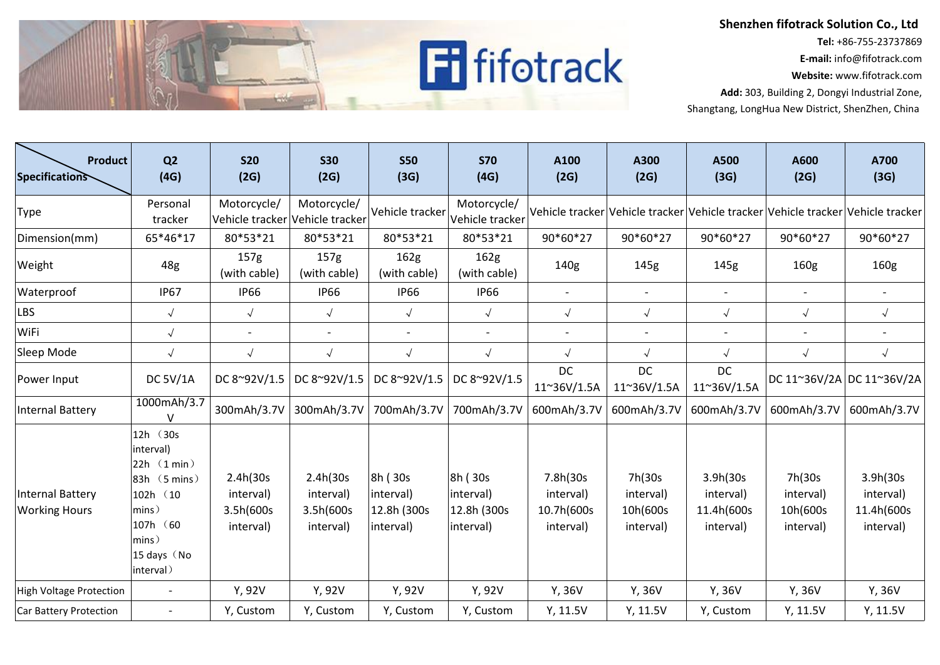

**Shenzhen fifotrack Solution Co., Ltd Tel:** +86-755-23737869 **E-mail:** info@fifotrack.com **Website:** www.fifotrack.com **Add:** 303, Building 2, Dongyi Industrial Zone,

Shangtang, LongHua New District, ShenZhen, China

| <b>Product</b><br><b>Specifications</b>  | Q <sub>2</sub><br>(4G)                                                                                                                                        | <b>S20</b><br>(2G)                              | <b>S30</b><br>(2G)                              | <b>S50</b><br>(3G)                                | <b>S70</b><br>(4G)                                | A100<br>(2G)                                      | A300<br>(2G)                                 | A500<br>(3G)                                      | A600<br>(2G)                                                                    | A700<br>(3G)                                      |
|------------------------------------------|---------------------------------------------------------------------------------------------------------------------------------------------------------------|-------------------------------------------------|-------------------------------------------------|---------------------------------------------------|---------------------------------------------------|---------------------------------------------------|----------------------------------------------|---------------------------------------------------|---------------------------------------------------------------------------------|---------------------------------------------------|
| Type                                     | Personal<br>tracker                                                                                                                                           | Motorcycle/<br>Vehicle tracker                  | Motorcycle/<br>Vehicle tracker                  | Vehicle tracker                                   | Motorcycle/<br>Vehicle tracker                    |                                                   |                                              |                                                   | Vehicle tracker Vehicle tracker Vehicle tracker Vehicle tracker Vehicle tracker |                                                   |
| Dimension(mm)                            | 65*46*17                                                                                                                                                      | 80*53*21                                        | 80*53*21                                        | 80*53*21                                          | 80*53*21                                          | 90*60*27                                          | 90*60*27                                     | 90*60*27                                          | 90*60*27                                                                        | 90*60*27                                          |
| Weight                                   | 48g                                                                                                                                                           | 157g<br>(with cable)                            | 157g<br>(with cable)                            | 162 <sub>g</sub><br>(with cable)                  | 162g<br>(with cable)                              | 140g                                              | 145g                                         | 145g                                              | 160 <sub>g</sub>                                                                | 160g                                              |
| Waterproof                               | <b>IP67</b>                                                                                                                                                   | <b>IP66</b>                                     | <b>IP66</b>                                     | <b>IP66</b>                                       | <b>IP66</b>                                       |                                                   | $\overline{\phantom{a}}$                     | $\overline{\phantom{a}}$                          |                                                                                 |                                                   |
| LBS                                      | $\sqrt{ }$                                                                                                                                                    | $\sqrt{ }$                                      | $\sqrt{ }$                                      | $\sqrt{ }$                                        | $\sqrt{ }$                                        | $\sqrt{ }$                                        | $\sqrt{ }$                                   | $\sqrt{ }$                                        | $\sqrt{ }$                                                                      | $\sqrt{ }$                                        |
| WiFi                                     | $\sqrt{ }$                                                                                                                                                    |                                                 |                                                 |                                                   |                                                   |                                                   | $\overline{\phantom{a}}$                     | $\overline{\phantom{a}}$                          |                                                                                 |                                                   |
| Sleep Mode                               | $\sqrt{}$                                                                                                                                                     | $\sqrt{ }$                                      | $\sqrt{ }$                                      | $\sqrt{ }$                                        | $\sqrt{ }$                                        | $\sqrt{ }$                                        | $\sqrt{ }$                                   | $\sqrt{ }$                                        | $\sqrt{ }$                                                                      | $\sqrt{ }$                                        |
| Power Input                              | <b>DC 5V/1A</b>                                                                                                                                               | DC 8~92V/1.5                                    | DC 8~92V/1.5                                    | DC 8~92V/1.5                                      | DC 8~92V/1.5                                      | DC<br>11~36V/1.5A                                 | DC<br>11~36V/1.5A                            | <b>DC</b><br>11~36V/1.5A                          |                                                                                 | DC 11~36V/2A DC 11~36V/2A                         |
| Internal Battery                         | 1000mAh/3.7                                                                                                                                                   | 300mAh/3.7V                                     | 300mAh/3.7V                                     | 700mAh/3.7V                                       | 700mAh/3.7V                                       | 600mAh/3.7V                                       | 600mAh/3.7V                                  | 600mAh/3.7V                                       | 600mAh/3.7V                                                                     | 600mAh/3.7V                                       |
| Internal Battery<br><b>Working Hours</b> | 12h (30s<br>interval)<br>$22h$ (1 min)<br> 83h (5 mins)<br>102h (10<br>$\ket{\mathsf{mins}}$<br>(60)<br>107h<br>$mins$ )<br>15 days (No<br>$ interval\rangle$ | 2.4h(30s<br>interval)<br>3.5h(600s<br>interval) | 2.4h(30s<br>interval)<br>3.5h(600s<br>interval) | 8h (30s<br>interval)<br>12.8h (300s)<br>interval) | 8h (30s<br>interval)<br>12.8h (300s)<br>interval) | 7.8h(30s)<br>interval)<br>10.7h(600s<br>interval) | 7h(30s<br>interval)<br>10h(600s<br>interval) | 3.9h(30s)<br>interval)<br>11.4h(600s<br>interval) | 7h(30s<br>interval)<br>10h(600s<br>interval)                                    | 3.9h(30s)<br>interval)<br>11.4h(600s<br>interval) |
| High Voltage Protection                  |                                                                                                                                                               | Y, 92V                                          | Y, 92V                                          | Y, 92V                                            | Y, 92V                                            | Y, 36V                                            | Y, 36V                                       | Y, 36V                                            | Y, 36V                                                                          | Y, 36V                                            |
| Car Battery Protection                   |                                                                                                                                                               | Y, Custom                                       | Y, Custom                                       | Y, Custom                                         | Y, Custom                                         | Y, 11.5V                                          | Y, 11.5V                                     | Y, Custom                                         | Y, 11.5V                                                                        | Y, 11.5V                                          |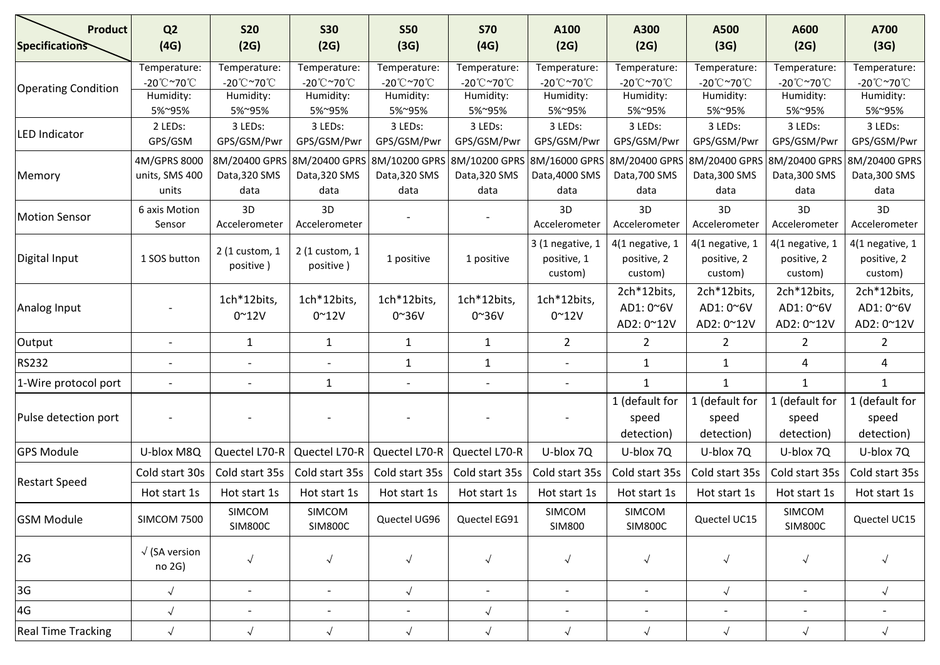| <b>Product</b><br>Specifications | Q <sub>2</sub><br>(4G)                  | <b>S20</b><br>(2G)           | <b>S30</b><br>(2G)                                   | <b>S50</b><br>(3G)           | <b>S70</b><br>(4G)                                                               | A100<br>(2G)                               | A300<br>(2G)                              | A500<br>(3G)                              | A600<br>(2G)                                                       | A700<br>(3G)                                 |
|----------------------------------|-----------------------------------------|------------------------------|------------------------------------------------------|------------------------------|----------------------------------------------------------------------------------|--------------------------------------------|-------------------------------------------|-------------------------------------------|--------------------------------------------------------------------|----------------------------------------------|
|                                  | Temperature:                            | Temperature:                 | Temperature:                                         | Temperature:                 | Temperature:                                                                     | Temperature:                               | Temperature:                              | Temperature:                              | Temperature:                                                       | Temperature:                                 |
| <b>Operating Condition</b>       | -20°C~70°C<br>Humidity:                 | -20°C~70°C<br>Humidity:      | -20°C~70°C<br>Humidity:                              | -20°C~70°C<br>Humidity:      | -20°C~70°C<br>Humidity:                                                          | -20℃~70℃<br>Humidity:                      | -20°C~70°C<br>Humidity:                   | -20°C~70°C<br>Humidity:                   | -20°C~70°C<br>Humidity:                                            | $-20^{\circ}$ C~70 $^{\circ}$ C<br>Humidity: |
|                                  | 5%~95%                                  | 5%~95%                       | 5%~95%                                               | 5%~95%                       | 5%~95%                                                                           | 5%~95%                                     | 5%~95%                                    | 5%~95%                                    | 5%~95%                                                             | 5%~95%                                       |
| <b>LED Indicator</b>             | 2 LEDs:<br>GPS/GSM                      | 3 LEDs:<br>GPS/GSM/Pwr       | 3 LEDs:<br>GPS/GSM/Pwr                               | 3 LEDs:<br>GPS/GSM/Pwr       | 3 LEDs:<br>GPS/GSM/Pwr                                                           | 3 LEDs:<br>GPS/GSM/Pwr                     | 3 LEDs:<br>GPS/GSM/Pwr                    | 3 LEDs:<br>GPS/GSM/Pwr                    | 3 LEDs:<br>GPS/GSM/Pwr                                             | 3 LEDs:<br>GPS/GSM/Pwr                       |
| Memory                           | 4M/GPRS 8000<br>units, SMS 400<br>units | Data, 320 SMS<br>data        | 8M/20400 GPRS 8M/20400 GPRS<br>Data, 320 SMS<br>data | Data, 320 SMS<br>data        | 8M/10200 GPRS 8M/10200 GPRS 8M/16000 GPRS 8M/20400 GPRS<br>Data, 320 SMS<br>data | Data, 4000 SMS<br>data                     | Data, 700 SMS<br>data                     | Data, 300 SMS<br>data                     | 8M/20400 GPRS 8M/20400 GPRS 8M/20400 GPRS<br>Data, 300 SMS<br>data | Data, 300 SMS<br>data                        |
| Motion Sensor                    | 6 axis Motion<br>Sensor                 | 3D<br>Accelerometer          | 3D<br>Accelerometer                                  |                              |                                                                                  | 3D<br>Accelerometer                        | 3D<br>Accelerometer                       | 3D<br>Accelerometer                       | 3D<br>Accelerometer                                                | 3D<br>Accelerometer                          |
| Digital Input                    | 1 SOS button                            | 2 (1 custom, 1<br>positive)  | 2 (1 custom, 1<br>positive)                          | 1 positive                   | 1 positive                                                                       | 3 (1 negative, 1<br>positive, 1<br>custom) | 4(1 negative, 1<br>positive, 2<br>custom) | 4(1 negative, 1<br>positive, 2<br>custom) | 4(1 negative, 1<br>positive, 2<br>custom)                          | 4(1 negative, 1<br>positive, 2<br>custom)    |
| Analog Input                     |                                         | 1ch*12bits,<br>$0^{\sim}12V$ | 1ch*12bits,<br>$0^{\sim}$ 12V                        | 1ch*12bits,<br>$0^{\sim}36V$ | 1ch*12bits,<br>$0^{\sim}36V$                                                     | 1ch*12bits,<br>$0^{\sim}$ 12V              | 2ch*12bits,<br>AD1: 0~6V<br>AD2: 0~12V    | 2ch*12bits,<br>AD1: 0~6V<br>AD2: 0~12V    | 2ch*12bits,<br>AD1: 0~6V<br>AD2: 0~12V                             | 2ch*12bits,<br>AD1: 0~6V<br>AD2: 0~12V       |
| Output                           | $\overline{\phantom{a}}$                | $\mathbf{1}$                 | $\mathbf{1}$                                         | $\mathbf{1}$                 | $\mathbf{1}$                                                                     | $\overline{2}$                             | $\overline{2}$                            | $\overline{2}$                            | $\overline{2}$                                                     | $\overline{2}$                               |
| <b>RS232</b>                     |                                         |                              |                                                      | $\mathbf{1}$                 | $\mathbf{1}$                                                                     |                                            | $\mathbf{1}$                              | $\mathbf{1}$                              | 4                                                                  | 4                                            |
| 1-Wire protocol port             |                                         |                              | $\mathbf{1}$                                         |                              |                                                                                  |                                            | $\mathbf{1}$                              | $\mathbf{1}$                              | $\mathbf{1}$                                                       | $\mathbf{1}$                                 |
| Pulse detection port             |                                         |                              |                                                      |                              |                                                                                  |                                            | 1 (default for<br>speed<br>detection)     | 1 (default for<br>speed<br>detection)     | 1 (default for<br>speed<br>detection)                              | 1 (default for<br>speed<br>detection)        |
| GPS Module                       | U-blox M8Q                              | Quectel L70-R                | Quectel L70-R                                        | Quectel L70-R                | Quectel L70-R                                                                    | U-blox 7Q                                  | U-blox 7Q                                 | U-blox 7Q                                 | U-blox 7Q                                                          | U-blox 7Q                                    |
|                                  | Cold start 30s                          | Cold start 35s               | Cold start 35s                                       | Cold start 35s               | Cold start 35s                                                                   | Cold start 35s                             | Cold start 35s                            | Cold start 35s                            | Cold start 35s                                                     | Cold start 35s                               |
| Restart Speed                    | Hot start 1s                            | Hot start 1s                 | Hot start 1s                                         | Hot start 1s                 | Hot start 1s                                                                     | Hot start 1s                               | Hot start 1s                              | Hot start 1s                              | Hot start 1s                                                       | Hot start 1s                                 |
| <b>GSM Module</b>                | SIMCOM 7500                             | SIMCOM<br><b>SIM800C</b>     | SIMCOM<br><b>SIM800C</b>                             | Quectel UG96                 | Quectel EG91                                                                     | SIMCOM<br><b>SIM800</b>                    | SIMCOM<br><b>SIM800C</b>                  | Quectel UC15                              | SIMCOM<br><b>SIM800C</b>                                           | Quectel UC15                                 |
| 2G                               | $\sqrt{}$ (SA version<br>no 2G)         | $\sqrt{ }$                   | $\sqrt{ }$                                           | $\sqrt{ }$                   | $\sqrt{ }$                                                                       | $\sqrt{ }$                                 | $\sqrt{ }$                                | $\sqrt{ }$                                | $\sqrt{ }$                                                         | $\sqrt{}$                                    |
| 3G                               | $\sqrt{ }$                              |                              |                                                      | $\sqrt{ }$                   |                                                                                  | $\overline{\phantom{a}}$                   | $\sim$                                    | $\sqrt{ }$                                | $\overline{\phantom{a}}$                                           | $\sqrt{}$                                    |
| 4G                               | $\sqrt{ }$                              | $\overline{\phantom{a}}$     |                                                      | $\blacksquare$               | $\sqrt{ }$                                                                       | $\overline{\phantom{a}}$                   | $\overline{\phantom{a}}$                  | $\overline{\phantom{a}}$                  | $\overline{\phantom{a}}$                                           | $\overline{\phantom{a}}$                     |
| <b>Real Time Tracking</b>        | $\sqrt{ }$                              | $\sqrt{ }$                   | $\sqrt{ }$                                           | $\sqrt{ }$                   | $\sqrt{ }$                                                                       | $\sqrt{}$                                  | $\sqrt{ }$                                | $\sqrt{ }$                                | $\sqrt{ }$                                                         | $\sqrt{ }$                                   |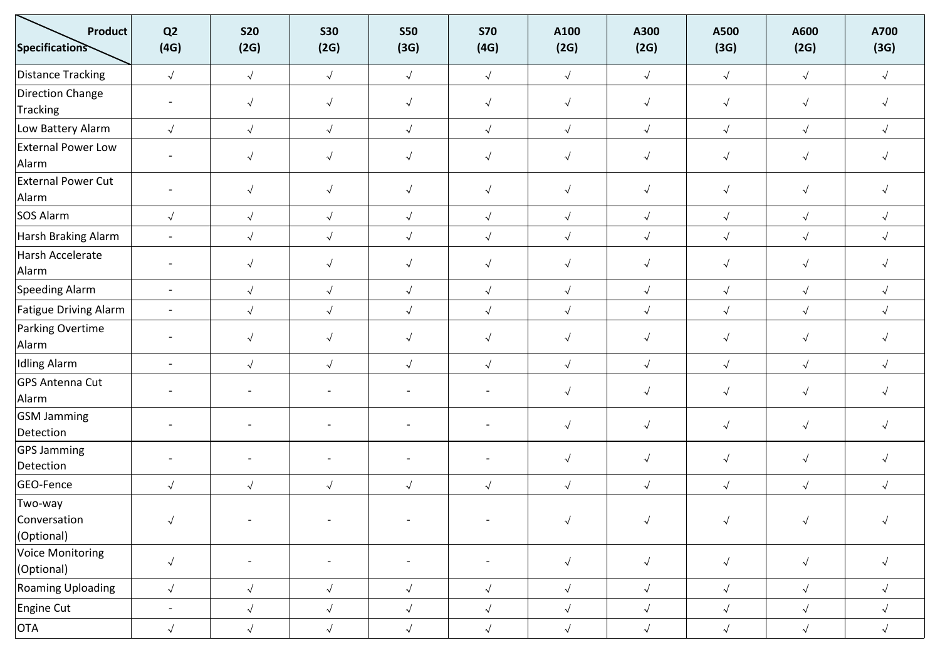| Product<br><b>Specifications</b>      | Q <sub>2</sub><br>(4G)   | <b>S20</b><br>(2G)       | <b>S30</b><br>(2G)       | <b>S50</b><br>(3G)       | <b>S70</b><br>(4G) | A100<br>(2G) | A300<br>(2G) | A500<br>(3G)         | A600<br>(2G)         | A700<br>(3G) |
|---------------------------------------|--------------------------|--------------------------|--------------------------|--------------------------|--------------------|--------------|--------------|----------------------|----------------------|--------------|
| Distance Tracking                     | $\sqrt{ }$               | $\sqrt{}$                | $\sqrt{ }$               | $\sqrt{}$                | $\sqrt{}$          | $\sqrt{}$    | $\sqrt{2}$   | $\sqrt{ }$           | $\sqrt{ }$           | $\sqrt{ }$   |
| Direction Change<br>Tracking          | $\overline{\phantom{a}}$ | $\sqrt{ }$               | $\sqrt{ }$               | $\sqrt{ }$               | $\sqrt{ }$         | $\sqrt{ }$   | $\sqrt{ }$   | $\sqrt{ }$           | $\sqrt{ }$           | $\sqrt{ }$   |
| Low Battery Alarm                     | $\sqrt{ }$               | $\sqrt{ }$               | $\sqrt{ }$               | $\sqrt{ }$               | $\sqrt{ }$         | $\sqrt{}$    | $\sqrt{ }$   | $\sqrt{ }$           | $\sqrt{ }$           | $\sqrt{}$    |
| <b>External Power Low</b><br>Alarm    |                          | $\sqrt{ }$               | $\sqrt{ }$               | $\sqrt{ }$               | $\sqrt{ }$         | $\sqrt{ }$   | $\sqrt{ }$   | $\sqrt{ }$           | $\sqrt{ }$           | $\sqrt{ }$   |
| External Power Cut<br>Alarm           | $\overline{\phantom{a}}$ | $\sqrt{ }$               | $\sqrt{\phantom{a}}$     | $\sqrt{ }$               | $\sqrt{ }$         | $\sqrt{ }$   | $\sqrt{ }$   | $\sqrt{ }$           | $\sqrt{\phantom{a}}$ | $\sqrt{ }$   |
| SOS Alarm                             | $\sqrt{ }$               | $\sqrt{}$                | $\sqrt{ }$               | $\sqrt{}$                | $\sqrt{ }$         | $\sqrt{ }$   | $\sqrt{ }$   | $\sqrt{ }$           | $\sqrt{}$            | $\sqrt{ }$   |
| Harsh Braking Alarm                   | $\overline{a}$           | $\sqrt{ }$               | $\sqrt{ }$               | $\sqrt{ }$               | $\sqrt{}$          | $\sqrt{ }$   | $\sqrt{ }$   | $\sqrt{ }$           | $\sqrt{\phantom{a}}$ | $\sqrt{ }$   |
| Harsh Accelerate<br>Alarm             | $\overline{\phantom{0}}$ | $\sqrt{ }$               | $\sqrt{ }$               | $\sqrt{ }$               | $\sqrt{ }$         | $\sqrt{ }$   | $\sqrt{ }$   | $\sqrt{ }$           | $\sqrt{ }$           | $\sqrt{ }$   |
| Speeding Alarm                        | $\overline{\phantom{a}}$ | $\sqrt{ }$               | $\sqrt{}$                | $\sqrt{}$                | $\sqrt{ }$         | $\sqrt{}$    | $\sqrt{ }$   | $\sqrt{ }$           | $\sqrt{ }$           | $\sqrt{ }$   |
| Fatigue Driving Alarm                 | $\overline{\phantom{a}}$ | $\sqrt{ }$               | $\sqrt{ }$               | $\sqrt{}$                | $\checkmark$       | $\sqrt{ }$   | $\sqrt{}$    | $\sqrt{ }$           | $\sqrt{ }$           | $\sqrt{ }$   |
| Parking Overtime<br>Alarm             |                          | $\sqrt{ }$               | $\sqrt{\phantom{a}}$     | $\sqrt{ }$               | $\sqrt{ }$         | $\sqrt{ }$   | $\sqrt{ }$   | $\sqrt{ }$           | $\sqrt{ }$           | $\sqrt{ }$   |
| Idling Alarm                          | $\overline{\phantom{a}}$ | $\sqrt{ }$               | $\sqrt{ }$               | $\sqrt{}$                | $\sqrt{ }$         | $\checkmark$ | $\sqrt{}$    | $\sqrt{ }$           | $\sqrt{ }$           | $\sqrt{ }$   |
| GPS Antenna Cut<br>Alarm              |                          | $\overline{\phantom{a}}$ |                          |                          |                    | $\sqrt{ }$   | $\sqrt{ }$   | $\sqrt{ }$           | $\sqrt{ }$           | $\sqrt{ }$   |
| <b>GSM Jamming</b><br>Detection       |                          | $\overline{\phantom{a}}$ |                          |                          |                    | $\sqrt{ }$   | $\sqrt{ }$   | $\sqrt{ }$           | $\sqrt{ }$           | $\sqrt{ }$   |
| GPS Jamming<br>Detection              |                          | $\overline{\phantom{a}}$ |                          |                          |                    | $\sqrt{ }$   | $\sqrt{2}$   | $\sqrt{ }$           | $\sqrt{ }$           | $\sqrt{ }$   |
| GEO-Fence                             | $\sqrt{ }$               | $\sqrt{ }$               | $\sqrt{ }$               | $\sqrt{ }$               | $\sqrt{ }$         | $\sqrt{ }$   | $\sqrt{2}$   | $\sqrt{ }$           | $\sqrt{}$            | $\sqrt{ }$   |
| Two-way<br>Conversation<br>(Optional) |                          |                          |                          |                          |                    | $\sqrt{}$    | $\sqrt{ }$   | $\sqrt{}$            | $\sqrt{ }$           |              |
| Voice Monitoring<br>(Optional)        | $\sqrt{ }$               | $\overline{\phantom{a}}$ | $\overline{\phantom{a}}$ | $\overline{\phantom{a}}$ |                    | $\sqrt{}$    | $\sqrt{ }$   | $\sqrt{ }$           | $\sqrt{\phantom{a}}$ | $\sqrt{ }$   |
| Roaming Uploading                     | $\sqrt{ }$               | $\sqrt{ }$               | $\sqrt{}$                | $\sqrt{}$                | $\sqrt{ }$         | $\sqrt{ }$   | $\sqrt{2}$   | $\sqrt{\phantom{a}}$ | $\sqrt{ }$           | $\sqrt{ }$   |
| Engine Cut                            | $\overline{\phantom{a}}$ | $\sqrt{ }$               | $\sqrt{}$                | $\sqrt{ }$               | $\sqrt{}$          | $\sqrt{ }$   | $\sqrt{2}$   | $\sqrt{ }$           | $\sqrt{}$            | $\sqrt{ }$   |
| <b>OTA</b>                            | $\sqrt{ }$               | $\sqrt{ }$               | $\sqrt{2}$               | $\sqrt{}$                | $\sqrt{ }$         | $\sqrt{}$    | $\sqrt{}$    | $\sqrt{ }$           | $\sqrt{ }$           | $\sqrt{ }$   |